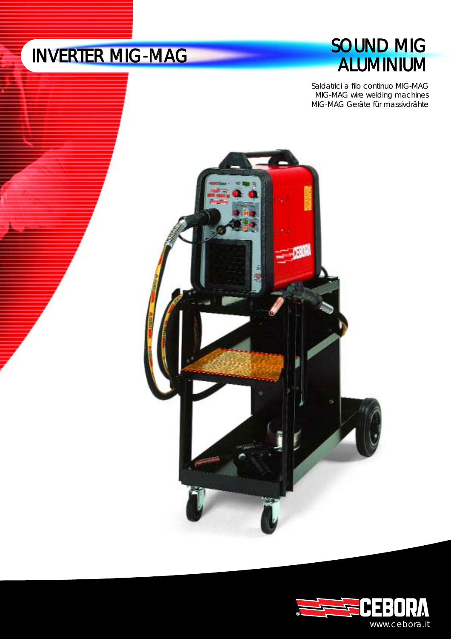# **SOUND MIG<br>ALUMINIUM**

Saldatrici a filo continuo MIG-MAG MIG-MAG wire welding machines MIG-MAG Geräte für massivdrähte



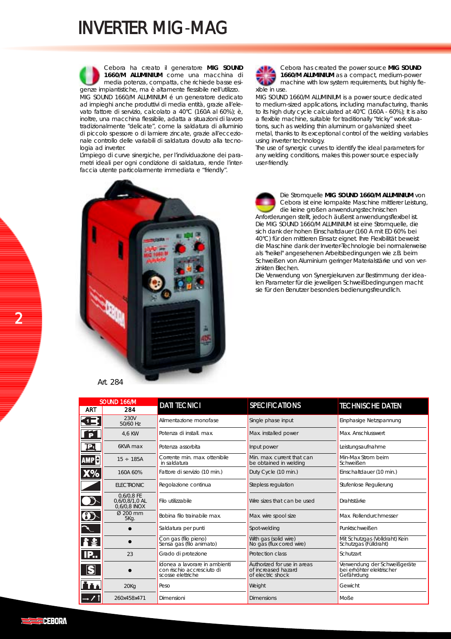Cebora ha creato il generatore **MIG SOUND 1660/M ALUMINIUM** come una macchina di media potenza, compatta, che richiede basse esigenze impiantistiche, ma è altamente flessibile nell'utilizzo. MIG SOUND 1660/M ALUMINIUM é un generatore dedicato ad impieghi anche produttivi di media entità, grazie all'elevato fattore di servizio, calcolato a 40°C (160A al 60%); è, inoltre, una macchina flessibile, adatta a situazioni di lavoro tradizionalmente "delicate", come la saldatura di alluminio di piccolo spessore o di lamiere zincate, grazie all'eccezionale controllo delle variabili di saldatura dovuto alla tecnologia ad inverter.

L'impiego di curve sinergiche, per l'individuazione dei parametri ideali per ogni condizione di saldatura, rende l'interfaccia utente particolarmente immediata e "friendly".



Cebora has created the power source **MIG SOUND 1660/M ALUMINIUM** as a compact, medium-power machine with low system requirements, but highly flexible in use.

MIG SOUND 1660/M ALUMINIUM is a power source dedicated to medium-sized applications, including manufacturing, thanks to its high duty cycle calculated at 40°C (160A - 60%); It is also a flexible machine, suitable for traditionally "tricky" work situations, such as welding thin aluminum or galvanized sheet metal, thanks to its exceptional control of the welding variables using inverter technology.

The use of synergic curves to identify the ideal parameters for any welding conditions, makes this power source especially user-friendly.



Die Stromquelle **MIG SOUND 1660/M ALUMINIUM** von Cebora ist eine kompakte Maschine mittlerer Leistung, die keine großen anwendungstechnischen

Anforderungen stellt, jedoch äußerst anwendungsflexibel ist. Die MIG SOUND 1660/M ALUMINIUM ist eine Stromquelle, die sich dank der hohen Einschaltdauer (160 A mit ED 60% bei 40°C) für den mittleren Einsatz eignet. Ihre Flexibilität beweist die Maschine dank der Inverter-Technologie bei normalerweise als "heikel" angesehenen Arbeitsbedingungen wie z.B. beim Schweißen von Aluminium geringer Materialstärke und von verzinkten Blechen.

Die Verwendung von Synergiekurven zur Bestimmung der idealen Parameter für die jeweiligen Schweißbedingungen macht sie für den Benutzer besonders bedienungsfreundlich.

| SOUND 166/M            |                                              | <b>DATI TECNICI</b>                                                              | <b>SPECIFICATIONS</b>                                                   |                                                                         |
|------------------------|----------------------------------------------|----------------------------------------------------------------------------------|-------------------------------------------------------------------------|-------------------------------------------------------------------------|
| <b>ART</b>             | 284                                          |                                                                                  |                                                                         | <b>TECHNISCHE DATEN</b>                                                 |
| Œj                     | 230V<br>50/60 Hz                             | Alimentazione monofase                                                           | Single phase input                                                      | Einphasige Netzspannung                                                 |
| $\ddot{\mathbf{P}}$    | 4.6 KW                                       | Potenza di install, max.                                                         | Max. installed power                                                    | Max. Anschlusswert                                                      |
| <b>P</b>               | 6KVA max                                     | Potenza assorbita                                                                | Input power                                                             | Leistungsaufnahme                                                       |
| <b>AMPE</b>            | $15 \div 185A$                               | Corrente min. max. ottenibile<br>in saldatura                                    | Min. max. current that can<br>be obtained in welding                    | Min-Max Strom beim<br>Schweißen                                         |
| X%                     | 160A 60%                                     | Fattore di servizio (10 min.)                                                    | Duty Cycle (10 min.)                                                    | Einschaltdauer (10 min.)                                                |
|                        | <b>ELECTRONIC</b>                            | Regolazione continua                                                             | Stepless regulation                                                     | Stufenlose Regulierung                                                  |
| $\mathbf{D}$           | 0,6/0,8 FE<br>0,6/0,8/1,0 AL<br>0,6/0,8 INOX | Filo utilizzabile                                                                | Wire sizes that can be used                                             | Drahtstärke                                                             |
| $\bigoplus$            | Ø 200 mm<br>5Kg.                             | Bobina filo trainabile max.                                                      | Max. wire spool size                                                    | Max. Rollendurchmesser                                                  |
| $\mathcal{A}_{\mu\nu}$ |                                              | Saldatura per punti                                                              | Spot-welding                                                            | Punktschweißen                                                          |
| 者案                     |                                              | Con gas (filo pieno)<br>Sensa gas (filo animato)                                 | With gas (solid wire)<br>No gas (flux cored wire)                       | Mit Schutzgas (Volldraht) Kein<br>Schutzgas (Fülldraht)                 |
| <b>IP</b>              | 23                                           | Grado di protezione                                                              | Protection class                                                        | Schutzart                                                               |
| S                      |                                              | Idonea a lavorare in ambienti<br>con rischio accresciuto di<br>scosse elettriche | Authorized for use in areas<br>of increased hazard<br>of electric shock | Verwendung der Schweißgeräte<br>bei erhöhter elektrischer<br>Gefährdung |
| <u>itt</u>             | 20Kq                                         | Peso                                                                             | Weight                                                                  | Gewicht                                                                 |
| $\rightarrow$ 7 1      | 260x458x471                                  | Dimensioni                                                                       | <b>Dimensions</b>                                                       | Moße                                                                    |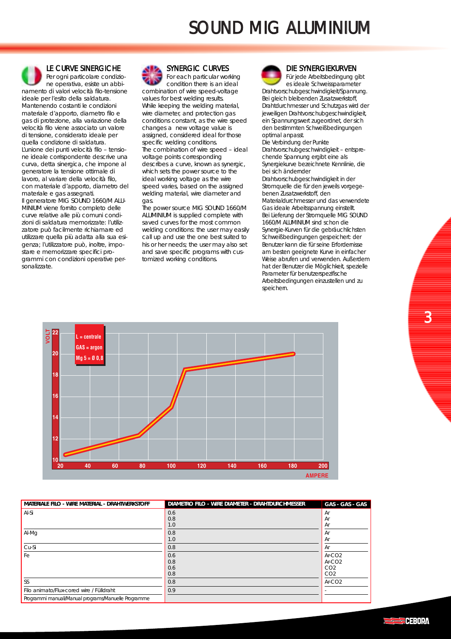# SOUND MIG ALUMINIUM



LE CURVE SINERGICHE

Per ogni particolare condizione operativa, esiste un abbinamento di valori velocità filo-tensione ideale per l'esito della saldatura. Mantenendo costanti le condizioni materiale d'apporto, diametro filo e gas di protezione, alla variazione della velocità filo viene associato un valore di tensione, considerato ideale per quella condizione di saldatura. L'unione dei punti velocità filo – tensione ideale corrispondente descrive una curva, detta sinergica, che impone al generatore la tensione ottimale di lavoro, al variare della velocità filo, con materiale d'apporto, diametro del materiale e gas assegnati. Il generatore MIG SOUND 1660/M ALU-MINIUM viene fornito completo delle curve relative alle più comuni condizioni di saldatura memorizzate: l'utilizzatore può facilmente richiamare ed utilizzare quella più adatta alla sua esigenza; l'utilizzatore può, inoltre, impostare e memorizzare specifici programmi con condizioni operative personalizzate.



For each particular working condition there is an ideal combination of wire speed-voltage values for best welding results. While keeping the welding material, wire diameter, and protection gas conditions constant, as the wire speed changes a new voltage value is assigned, considered ideal for those specific welding conditions. The combination of wire speed – ideal voltage points corresponding describes a curve, known as synergic, which sets the power source to the ideal working voltage as the wire speed varies, based on the assigned welding material, wire diameter and gas.

The power source MIG SOUND 1660/M ALUMINIUM is supplied complete with saved curves for the most common welding conditions: the user may easily call up and use the one best suited to his or her needs; the user may also set and save specific programs with customized working conditions.



#### DIE SYNERGIEKURVEN

Für jede Arbeitsbedingung gibt es ideale Schweissparameter Drahtvorschubgeschwindigkeit/Spannung. Bei gleich bleibenden Zusatzwerkstoff, Drahtdurchmesser und Schutzgas wird der jeweiligen Drahtvorschubgeschwindigkeit, ein Spannungswert zugeordnet, der sich den bestimmten Schweißbedingungen optimal anpasst. Die Verbindung der Punkte

Drahtvorschubgeschwindigkeit – entsprechende Spannung ergibt eine als Synergiekurve bezeichnete Kennlinie, die bei sich ändernder

Drahtvorschubgeschwindigkeit in der Stromquelle die für den jeweils vorgegebenen Zusatzwerkstoff, den

Materialdurchmesser und das verwendete Gas ideale Arbeitsspannung einstellt. Bei Lieferung der Stromquelle MIG SOUND

1660/M ALUMINIUM sind schon die Synergie-Kurven für die gebräuchlichsten Schweißbedingungen gespeichert: der Benutzer kann die für seine Erfordernisse am besten geeignete Kurve in einfacher Weise abrufen und verwenden. Außerdem hat der Benutzer die Möglichkeit, spezielle Parameter für benutzerspezifische Arbeitsbedingungen einzustellen und zu speichern.



| MATERIALE FILO - WIRE MATERIAL - DRAHTWERKSTOFF      | DIAMETRO FILO - WIRE DIAMETER - DRAHTDURCHMESSER | GAS - GAS - GAS                                            |
|------------------------------------------------------|--------------------------------------------------|------------------------------------------------------------|
| Al-Si                                                | 0.6<br>0.8<br>1.0                                | Ar<br>Ar<br>Ar                                             |
| Al-Mg                                                | 0.8<br>1.0                                       | Ar<br>Ar                                                   |
| Cu-Si                                                | 0.8                                              | Ar                                                         |
| Fe l                                                 | 0.6<br>0.8<br>0.6<br>0.8                         | $Ar-CO2$<br>$Ar-CO2$<br>CO <sub>2</sub><br>CO <sub>2</sub> |
| SS                                                   | 0.8                                              | $Ar-CO2$                                                   |
| Filo animato/Flux-cored wire / Fülldraht             | 0.9                                              |                                                            |
| Programmi manuali/Manual programs/Manuelle Programme |                                                  |                                                            |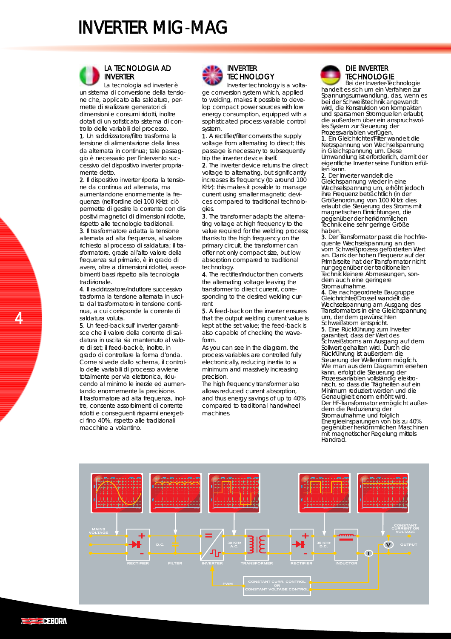

#### LA TECNOLOGIA AD INVERTER

La tecnologia ad inverter è un sistema di conversione della tensione che, applicato alla saldatura, permette di realizzare generatori di dimensioni e consumi ridotti, inoltre dotati di un sofisticato sistema di controllo delle variabili del processo.

1. Un raddrizzatore/filtro trasforma la tensione di alimentazione della linea da alternata in continua; tale passaggio è necessario per l'intervento successivo del dispositivo inverter propriamente detto.

2. Il dispositivo inverter riporta la tensione da continua ad alternata, ma aumentandone enormemente la frequenza (nell'ordine dei 100 KHz): ciò permette di gestire la corrente con dispositivi magnetici di dimensioni ridotte, rispetto alle tecnologie tradizionali.

3. Il trasformatore adatta la tensione alternata ad alta frequenza, al valore richiesto al processo di saldatura; il trasformatore, grazie all'alto valore della frequenza sul primario, è in grado di avere, oltre a dimensioni ridottei, assorbimenti bassi rispetto alla tecnologia tradizionale.

4. Il raddrizzatore/induttore successivo trasforma la tensione alternata in uscita dal trasformatore in tensione continua, a cui corrisponde la corrente di saldatura voluta.

5. Un feed-back sull' inverter garantisce che il valore della corrente di saldatura in uscita sia mantenuto al valore di set; il feed-back è, inoltre, in grado di controllare la forma d'onda. Come si vede dallo schema, il controllo delle variabili di processo avviene totalmente per via elettronica, riducendo al minimo le inerzie ed aumentando enormemente la precisione. Il trasformatore ad alta frequenza, inoltre, consente assorbimenti di corrente ridotti e conseguenti risparmi energetici fino 40%, rispetto alle tradizionali macchine a volantino.

#### INVERTER **TECHNOLOGY**

Inverter technology is a voltage conversion system which, applied to welding, makes it possible to develop compact power sources with low energy consumption, equipped with a sophisticated process variable control system.

1. A rectifier/filter converts the supply voltage from alternating to direct; this passage is necessary to subsequently trip the inverter device itself.

2. The inverter device returns the direct voltage to alternating, but significantly increases its frequency (to around 100 KHz): this makes it possible to manage current using smaller magnetic devices compared to traditional technologies.

3. The transformer adapts the alternating voltage at high frequency to the value required for the welding process; thanks to the high frequency on the primary circuit, the transformer can offer not only compact size, but low absorption compared to traditional technology.

4. The rectifier/inductor then converts the alternating voltage leaving the transformer to direct current, corresponding to the desired welding current.

5. A feed-back on the inverter ensures that the output welding current value is kept at the set value; the feed-back is also capable of checking the waveform.

As you can see in the diagram, the process variables are controlled fully electronically, reducing inertia to a minimum and massively increasing precision.

The high frequency transformer also allows reduced current absorption, and thus energy savings of up to 40% compared to traditional handwheel machines.



#### DIE INVERTER **TECHNOLOGIE**

Bei der Inverter-Technologie handelt es sich um ein Verfahren zur Spannungsumwandlung, das, wenn es bei der Schweißtechnik angewandt wird, die Konstruktion von kompakten und sparsamen Stromquellen erlaubt, die außerdem über ein anspruchsvolles System zur Steuerung der Prozessvariablen verfügen.

1. Ein Gleichrichter/Filter wandelt die Netzspannung von Wechselspannung in Gleichspannung um. Diese Umwandlung ist erforderlich, damit der eigentliche Inverter seine Funktion erfüllen kann.

2. Der Inverter wandelt die Gleichspannung wieder in eine Wechselspannung um, erhöht jedoch ihre Frequenz beträchtlich (in der Größenordnung von 100 KHz): dies erlaubt die Steuerung des Stroms mit magnetischen Einrichtungen, die gegenüber der herkömmlichen Technik eine sehr geringe Größe haben.<br>3. Der Transformator passt die hochfre-

quente Wechselspannung an den vom Schweißprozess geforderten Wert an. Dank der hohen Frequenz auf der Primärseite hat der Transformator nicht nur gegenüber der traditionellen Technik kleinere Abmessungen, sondern auch eine geringere Stromaufnahme.

4. Die nachgeordnete Baugruppe Gleichrichter/Drossel wandelt die Wechselspannung am Ausgang des Transformators in eine Gleichspannung um, der dem gewünschten Schweißstrom entspricht.

5. Eine Rückführung zum Inverter garantiert, dass der Wert des Schweißstroms am Ausgang auf dem Sollwert gehalten wird. Durch die Rückführung ist außerdem die Steuerung der Wellenform möglich. Wie man aus dem Diagramm ersehen kann, erfolgt die Steuerung der Prozessvariablen vollständig elektronisch, so dass die Trägheiten auf ein Minimum reduziert werden und die Genauigkeit enorm erhöht wird. Der HF-Transformator ermöglicht außerdem die Reduzierung der Stromaufnahme und folglich Energieeinsparungen von bis zu 40% gegenüber herkömmlichen Maschinen mit magnetischer Regelung mittels Handrad.

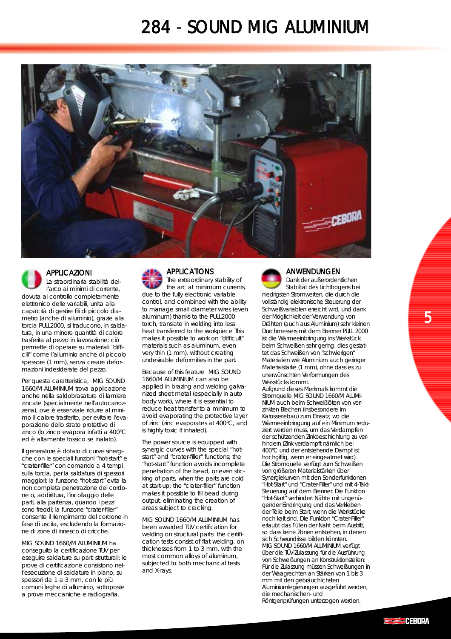### 284 - SOUND MIG ALUMINIUM





#### APPLICAZIONI

La straordinaria stabilità dell'arco ai minimi di corrente, dovuta al controllo completamente elettronico delle variabili, unita alla capacità di gestire fili di piccolo diametro (anche di alluminio), grazie alla torcia PULL2000, si traducono, in saldatura, in una minore quantità di calore trasferita al pezzo in lavorazione: ciò permette di operare su materiali "difficili" come l'alluminio anche di piccolo spessore (1 mm), senza creare deformazioni indesiderate del pezzo.

Per questa caratteristica, MIG SOUND 1660/M ALUMINIUM trova applicazione anche nella saldobrasatura di lamiere zincate (specialmente nell'autocarrozzeria), ove è essenziale ridurre al minimo il calore trasferito, per evitare l'evaporazione dello strato protettivo di zinco (lo zinco evapora infatti a 400°C ed è altamente tossico se inalato).

Il generatore è dotato di curve sinergiche con le speciali funzioni "hot-start" e "crater-filler" con comando a 4 tempi sulla torcia, per la saldatura di spessori maggiori; la funzione "hot-start" evita la non completa penetrazione del cordone o, addirittura, l'incollaggio delle parti, alla partenza, quando i pezzi sono freddi; la funzione "crater-filler" consente il riempimento del cordone in fase di uscita, escludendo la formazione di zone di innesco di cricche.

MIG SOUND 1660/M ALUMINIUM ha conseguito la certificazione TUV per eseguire saldature su parti strutturali: le prove di certificazione consistono nell'esecuzione di saldature in piano, su spessori da 1 a 3 mm, con le più comuni leghe di alluminio, sottoposte a prove meccaniche e radiografia.

#### APPLICATIONS

The extraordinary stability of the arc at minimum currents, due to the fully electronic variable control, and combined with the ability to manage small diameter wires (even aluminum) thanks to the PULL2000 torch, translate in welding into less heat transferred to the workpiece This makes it possible to work on "difficult" materials such as aluminum, even very thin (1 mm), without creating undesirable deformities in the part.

Because of this feature MIG SOUND 1660/M ALUMINIUM can also be applied in brazing and welding galvanized sheet metal (especially in auto body work), where it is essential to reduce heat transfer to a minimum to avoid evaporating the protective layer of zinc (zinc evaporates at 400°C, and is highly toxic if inhaled).

The power source is equipped with synergic curves with the special "hotstart" and "crater-filler" functions; the "hot-start" function avoids incomplete penetration of the bead, or even sticking of parts, when the parts are cold at start-up; the "crater-filler" function makes it possible to fill bead during output, eliminating the creation of areas subject to cracking.

MIG SOUND 1660/M ALUMINIUM has been awarded TUV certification for welding on structural parts: the certification tests consist of flat welding, on thicknesses from 1 to 3 mm, with the most common alloys of aluminum, subjected to both mechanical tests and X-rays.



#### ANWENDUNGEN

Dank der außerordentlichen Stabilität des Lichtbogens bei niedrigsten Stromwerten, die durch die vollständig elektronische Steuerung der Schweißvariablen erreicht wird, und dank der Möglichkeit der Verwendung von Drähten (auch aus Aluminium) sehr kleinen Durchmessers mit dem Brenner PULL 2000 ist die Wärmeeinbringung ins Werkstück beim Schweißen sehr gering: dies gestattet das Schweißen von "schwierigen" Materialien wie Aluminium auch geringer Materialstärke (1 mm), ohne dass es zu unerwünschten Verformungen des Werkstücks kommt. Aufgrund dieses Merkmals kommt die

Stromquelle MIG SOUND 1660/M ALUMI-NIUM auch beim Schweißlöten von verzinkten Blechen (insbesondere im Karosseriebau) zum Einsatz, wo die Wärmeeinbringung auf ein Minimum reduziert werden muss, um das Verdampfen der schützenden Zinkbeschichtung zu verhindern (Zink verdampft nämlich bei 400°C und der entstehende Dampf ist hochgiftig, wenn er eingeatmet wird). Die Stromquelle verfügt zum Schweißen von größeren Materialstärken über Synergiekurven mit den Sonderfunktionen "Hot-Start" und "Crater-Filler" und mit 4-Takt-Steuerung auf dem Brenner. Die Funktion "Hot-Start" verhindert Nähte mit ungenügender Eindringung und das Verkleben der Teile beim Start, wenn die Werkstücke noch kalt sind. Die Funktion "Crater-Filler" erlaubt das Füllen der Naht beim Austritt, so dass keine Zonen entstehen, in denen sich Schwundrisse bilden könnten. MIG SOUND 1660/M ALUMINIUM verfügt über die TÜV-Zulassung für die Ausführung von Schweißungen an Konstruktionsteilen: Für die Zulassung müssen Schweißungen in der Waagrechten an Stärken von 1 bis 3 mm mit den gebräuchlichsten Aluminiumlegierungen ausgeführt werden, die mechanischen- und Röntgenprüfungen unterzogen werden.

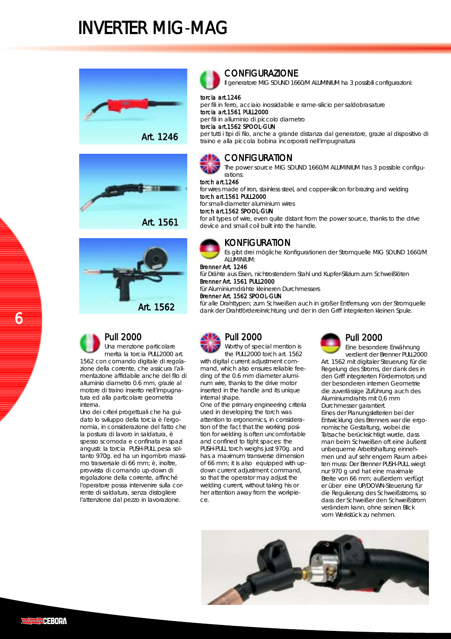





### Pull 2000

Una menzione particolare merita la torcia PULL2000 art. 1562 con comando digitale di regolazione della corrente, che assicura l'alimentazione affidabile anche del filo di alluminio diametro 0.6 mm, grazie al motore di traino inserito nell'impugnatura ed alla particolare geometria interna.

Uno dei criteri progettuali che ha guidato lo sviluppo della torcia è l'ergonomia, in considerazione del fatto che la postura di lavoro in saldatura, è spesso scomoda e confinata in spazi angusti: la torcia PUSH-PULL pesa soltanto 970g. ed ha un ingombro massimo trasversale di 66 mm; è, inoltre, provvista di comando up-down di regolazione della corrente, affinché l'operatore possa intervenire sulla corrente di saldatura, senza distogliere l'attenzione dal pezzo in lavorazione.

### **CONFIGURAZIONE**

Il generatore MIG SOUND 1660/M ALUMINIUM ha 3 possibili configurazioni:

#### torcia art.1246

per fili in ferro, acciaio inossidabile e rame-silicio per saldobrasature torcia art.1561 PULL2000 per fili in alluminio di piccolo diametro

torcia art.1562 SPOOL-GUN

per tutti i tipi di filo, anche a grande distanza dal generatore, grazie al dispositivo di traino e alla piccola bobina incorporati nell'impugnatura



### **CONFIGURATION**

The power source MIG SOUND 1660/M ALUMINIUM has 3 possible configurations:

### torch art.1246

for wires made of iron, stainless steel, and copper-silicon for brazing and welding torch art.1561 PULL2000

for small-diameter aluminium wires

torch art.1562 SPOOL-GUN

for all types of wire, even quite distant from the power source, thanks to the drive device and small coil built into the handle.



Es gibt drei mögliche Konfigurationen der Stromquelle MIG SOUND 1660/M ALUMINIUM:

Brenner Art. 1246

für Drähte aus Eisen, nichtrostendem Stahl und Kupfer-Silizium zum Schweißlöten Brenner Art. 1561 PULL2000

für Aluminiumdrähte kleineren Durchmessers

Brenner Art. 1562 SPOOL-GUN

für alle Drahttypen; zum Schweißen auch in großer Entfernung von der Stromquelle dank der Drahtfördereinrichtung und der in den Griff integrierten kleinen Spule.



Worthy of special mention is the PULL2000 torch art. 1562

with digital current adjustment command, which also ensures reliable feeding of the 0.6 mm diameter aluminum wire, thanks to the drive motor inserted in the handle and its unique internal shape.

One of the primary engineering criteria used in developing the torch was attention to ergonomics, in consideration of the fact that the working position for welding is often uncomfortable and confined to tight spaces: the PUSH-PULL torch weighs just 970g. and has a maximum transverse dimension of 66 mm; it is also equipped with updown current adjustment command, so that the operator may adjust the welding current, without taking his or her attention away from the workpiece.



### Pull 2000

Eine besondere Erwähnung verdient der Brenner PULL2000 Art. 1562 mit digitaler Steuerung für die Regelung des Stroms, der dank des in den Griff integrierten Fördermotors und der besonderen internen Geometrie die zuverlässige Zuführung auch des Aluminiumdrahts mit 0,6 mm Durchmesser garantiert. Eines der Planungskriterien bei der Entwicklung des Brenners war die ergonomische Gestaltung, wobei die Tatsache berücksichtigt wurde, dass man beim Schweißen oft eine äußerst unbequeme Arbeitshaltung einnehmen und auf sehr engem Raum arbeiten muss: Der Brenner PUSH-PULL wiegt nur 970 g und hat eine maximale Breite von 66 mm; außerdem verfügt er über eine UP/DOWN-Steuerung für die Regulierung des Schweißstroms, so dass der Schweißer den Schweißstrom verändern kann, ohne seinen Blick vom Werkstück zu nehmen.



6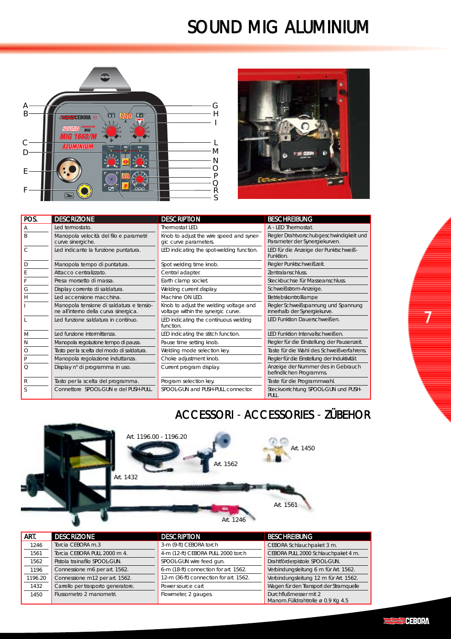# SOUND MIG ALUMINIUM





| POS. | <b>DESCRIZIONE</b>                                                                | <b>DESCRIPTION</b>                                                           | <b>BESCHREIBUNG</b>                                                      |
|------|-----------------------------------------------------------------------------------|------------------------------------------------------------------------------|--------------------------------------------------------------------------|
| А    | Led termostato.                                                                   | Thermostat LED.                                                              | A - LED Thermostat.                                                      |
| R    | Manopola velocità del filo e parametri<br>curve sinergiche.                       | Knob to adjust the wire speed and syner-<br>gic curve parameters.            | Regler Drahtvorschubgeschwindigkeit und<br>Parameter der Synergiekurven. |
|      | Led indicante la funzione puntatura.                                              | LED indicating the spot-welding function.                                    | LED für die Anzeige der Punktschweiß-<br>Funktion.                       |
|      | Manopola tempo di puntatura.                                                      | Spot welding time knob.                                                      | Regler Punktschweißzeit.                                                 |
|      | Attacco centralizzato.                                                            | Central adapter.                                                             | Zentralanschluss.                                                        |
|      | Presa morsetto di massa.                                                          | Earth clamp socket.                                                          | Steckbuchse für Masseanschluss.                                          |
|      | Display corrente di saldatura.                                                    | Welding current display.                                                     | Schweißstrom-Anzeige.                                                    |
| Н    | Led accensione macchina.                                                          | Machine ON LED.                                                              | Betriebskontrolllampe                                                    |
|      | Manopola tensione di saldatura e tensio-<br>ne all'interno della curva sinergica. | Knob to adjust the welding voltage and<br>voltage within the synergic curve. | Regler Schweißspannung und Spannung<br>innerhalb der Synergiekurve.      |
|      | Led funzione saldatura in continuo.                                               | LED indicating the continuous welding<br>function.                           | LED Funktion Dauerschweißen.                                             |
| M    | Led funzione intermittenza.                                                       | LED indicating the stitch function.                                          | LED Funktion Intervallschweißen.                                         |
| Ν    | Manopola regolazione tempo di pausa.                                              | Pause time setting knob.                                                     | Regler für die Einstellung der Pausenzeit.                               |
| O    | Tasto per la scelta del modo di saldatura.                                        | Welding mode selection key.                                                  | Taste für die Wahl des Schweißverfahrens.                                |
|      | Manopola regolazione induttanza.                                                  | Choke adjustment knob.                                                       | Regler für die Einstellung der Induktivität.                             |
| Ω    | Display n° di programma in uso.                                                   | Current program display.                                                     | Anzeige der Nummer des in Gebrauch<br>befindlichen Programms.            |
| R    | Tasto per la scelta del programma.                                                | Program selection key.                                                       | Taste für die Programmwahl.                                              |
|      | Connettore SPOOL-GUN e del PUSH-PULL.                                             | SPOOL-GUN and PUSH-PULL connector.                                           | Steckvorrichtung SPOOL-GUN und PUSH-<br>PULL                             |

### ACCESSORI - ACCESSORIES - ZÜBEHOR



| ART.    | <b>DESCRIZIONE</b>                 | <b>DESCRIPTION</b>                     | <b>BESCHREIBUNG</b>                                        |
|---------|------------------------------------|----------------------------------------|------------------------------------------------------------|
| 1246    | Torcia CEBORA m.3                  | 3-m (9-ft) CEBORA torch                | CEBORA Schlauchpaket 3 m.                                  |
| 1561    | Torcia CEBORA PULL 2000 m 4.       | 4-m (12-ft) CEBORA PULL 2000 torch     | CEBORA PULL 2000 Schlauchpaket 4 m.                        |
| 1562    | Pistola trainafilo SPOOL-GUN.      | SPOOL-GUN wire feed gun.               | Drahtförderpistole SPOOL-GUN.                              |
| 1196    | Connessione m6 per art. 1562.      | 6-m (18-ft) connection for art. 1562.  | Verbindungsleitung 6 m für Art. 1562.                      |
| 1196.20 | Connessione m12 per art. 1562.     | 12-m (36-ft) connection for art. 1562. | Verbindungsleitung 12 m für Art. 1562.                     |
| 1432    | Carrello per trasporto generatore. | Power source cart                      | Wagen für den Transport der Stramquelle                    |
| 1450    | Flussometro 2 manometri.           | Flowmeter, 2 gauges.                   | Durchflußmesser mit 2<br>Manom.Fülldrahtrolle ø 0.9 Kg 4.5 |